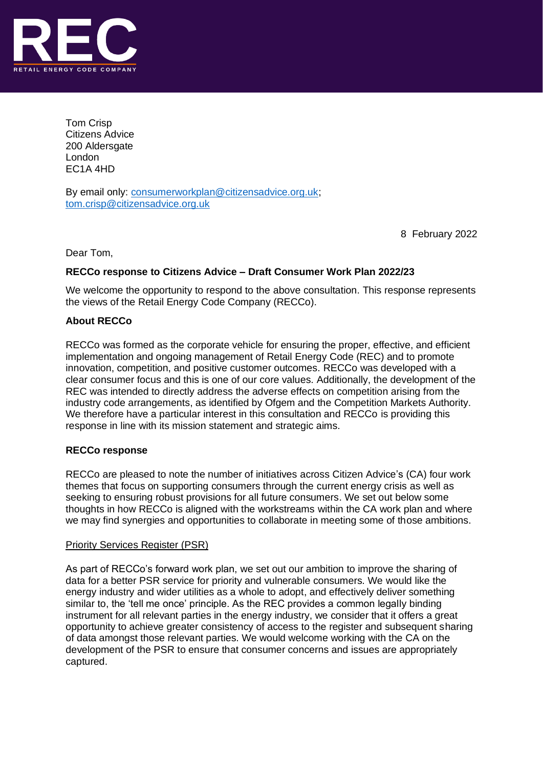

Tom Crisp Citizens Advice 200 Aldersgate London EC1A 4HD

By email only: [consumerworkplan@citizensadvice.org.uk;](mailto:consumerworkplan@citizensadvice.org.uk) [tom.crisp@citizensadvice.org.uk](mailto:tom.crisp@citizensadvice.org.uk)

8 February 2022

Dear Tom,

# **RECCo response to Citizens Advice – Draft Consumer Work Plan 2022/23**

We welcome the opportunity to respond to the above consultation. This response represents the views of the Retail Energy Code Company (RECCo).

## **About RECCo**

RECCo was formed as the corporate vehicle for ensuring the proper, effective, and efficient implementation and ongoing management of Retail Energy Code (REC) and to promote innovation, competition, and positive customer outcomes. RECCo was developed with a clear consumer focus and this is one of our core values. Additionally, the development of the REC was intended to directly address the adverse effects on competition arising from the industry code arrangements, as identified by Ofgem and the Competition Markets Authority. We therefore have a particular interest in this consultation and RECCo is providing this response in line with its mission statement and strategic aims.

# **RECCo response**

RECCo are pleased to note the number of initiatives across Citizen Advice's (CA) four work themes that focus on supporting consumers through the current energy crisis as well as seeking to ensuring robust provisions for all future consumers. We set out below some thoughts in how RECCo is aligned with the workstreams within the CA work plan and where we may find synergies and opportunities to collaborate in meeting some of those ambitions.

### Priority Services Register (PSR)

As part of RECCo's forward work plan, we set out our ambition to improve the sharing of data for a better PSR service for priority and vulnerable consumers. We would like the energy industry and wider utilities as a whole to adopt, and effectively deliver something similar to, the 'tell me once' principle. As the REC provides a common legally binding instrument for all relevant parties in the energy industry, we consider that it offers a great opportunity to achieve greater consistency of access to the register and subsequent sharing of data amongst those relevant parties. We would welcome working with the CA on the development of the PSR to ensure that consumer concerns and issues are appropriately captured.